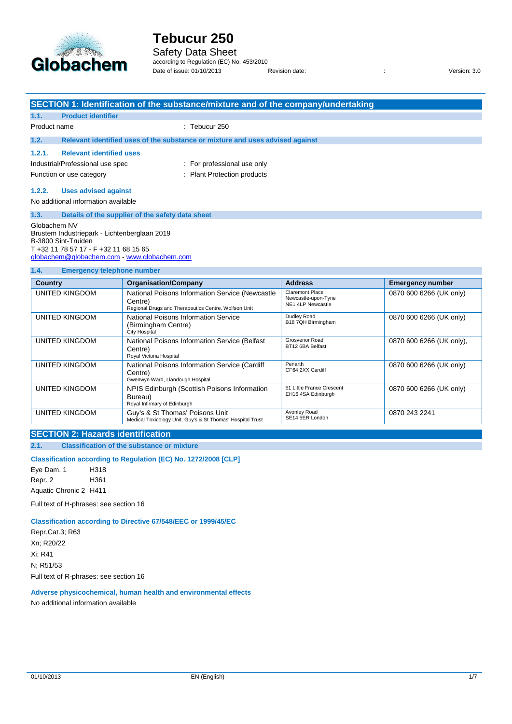

## Safety Data Sheet

according to Regulation (EC) No. 453/2010 Date of issue: 01/10/2013 Revision date: : Version: 3.0

| <b>SECTION 1: Identification of the substance/mixture and of the company/undertaking</b><br><b>Product identifier</b><br>1.1.<br>$:$ Tebucur 250<br>Product name<br>1.2.<br>Relevant identified uses of the substance or mixture and uses advised against<br>1.2.1.<br><b>Relevant identified uses</b><br>Industrial/Professional use spec<br>: For professional use only<br>: Plant Protection products<br>Function or use category<br>1.2.2.<br><b>Uses advised against</b><br>No additional information available<br>1.3.<br>Details of the supplier of the safety data sheet<br>Globachem NV |  |  |  |
|--------------------------------------------------------------------------------------------------------------------------------------------------------------------------------------------------------------------------------------------------------------------------------------------------------------------------------------------------------------------------------------------------------------------------------------------------------------------------------------------------------------------------------------------------------------------------------------------------|--|--|--|
|                                                                                                                                                                                                                                                                                                                                                                                                                                                                                                                                                                                                  |  |  |  |
|                                                                                                                                                                                                                                                                                                                                                                                                                                                                                                                                                                                                  |  |  |  |
|                                                                                                                                                                                                                                                                                                                                                                                                                                                                                                                                                                                                  |  |  |  |
|                                                                                                                                                                                                                                                                                                                                                                                                                                                                                                                                                                                                  |  |  |  |
|                                                                                                                                                                                                                                                                                                                                                                                                                                                                                                                                                                                                  |  |  |  |
|                                                                                                                                                                                                                                                                                                                                                                                                                                                                                                                                                                                                  |  |  |  |
|                                                                                                                                                                                                                                                                                                                                                                                                                                                                                                                                                                                                  |  |  |  |
|                                                                                                                                                                                                                                                                                                                                                                                                                                                                                                                                                                                                  |  |  |  |
|                                                                                                                                                                                                                                                                                                                                                                                                                                                                                                                                                                                                  |  |  |  |
|                                                                                                                                                                                                                                                                                                                                                                                                                                                                                                                                                                                                  |  |  |  |
|                                                                                                                                                                                                                                                                                                                                                                                                                                                                                                                                                                                                  |  |  |  |
|                                                                                                                                                                                                                                                                                                                                                                                                                                                                                                                                                                                                  |  |  |  |
| Brustem Industriepark - Lichtenberglaan 2019                                                                                                                                                                                                                                                                                                                                                                                                                                                                                                                                                     |  |  |  |
| B-3800 Sint-Truiden                                                                                                                                                                                                                                                                                                                                                                                                                                                                                                                                                                              |  |  |  |
| T +32 11 78 57 17 - F +32 11 68 15 65                                                                                                                                                                                                                                                                                                                                                                                                                                                                                                                                                            |  |  |  |
| globachem@globachem.com www.globachem.com                                                                                                                                                                                                                                                                                                                                                                                                                                                                                                                                                        |  |  |  |
| 1.4.<br><b>Emergency telephone number</b>                                                                                                                                                                                                                                                                                                                                                                                                                                                                                                                                                        |  |  |  |
| <b>Address</b><br><b>Country</b><br><b>Organisation/Company</b><br><b>Emergency number</b>                                                                                                                                                                                                                                                                                                                                                                                                                                                                                                       |  |  |  |
| <b>Claremont Place</b><br><b>UNITED KINGDOM</b><br>National Poisons Information Service (Newcastle<br>0870 600 6266 (UK only)                                                                                                                                                                                                                                                                                                                                                                                                                                                                    |  |  |  |
| Newcastle-upon-Tyne<br>Centre)<br>NE1 4LP Newcastle                                                                                                                                                                                                                                                                                                                                                                                                                                                                                                                                              |  |  |  |
| Regional Drugs and Therapeutics Centre, Wolfson Unit<br>Dudley Road                                                                                                                                                                                                                                                                                                                                                                                                                                                                                                                              |  |  |  |
| <b>UNITED KINGDOM</b><br>National Poisons Information Service<br>0870 600 6266 (UK only)<br>B18 7QH Birmingham<br>(Birmingham Centre)                                                                                                                                                                                                                                                                                                                                                                                                                                                            |  |  |  |
| City Hospital                                                                                                                                                                                                                                                                                                                                                                                                                                                                                                                                                                                    |  |  |  |
| Grosvenor Road<br><b>UNITED KINGDOM</b><br>National Poisons Information Service (Belfast<br>0870 600 6266 (UK only),                                                                                                                                                                                                                                                                                                                                                                                                                                                                             |  |  |  |
| BT12 6BA Belfast<br>Centre)<br>Roval Victoria Hospital                                                                                                                                                                                                                                                                                                                                                                                                                                                                                                                                           |  |  |  |

UNITED KINGDOM National Poisons Information Service (Cardiff Centre) Gwenwyn Ward, Llandough Hospital Penarth CF64 2XX Cardiff 0870 600 6266 (UK only) UNITED KINGDOM NPIS Edinburgh (Scottish Poisons Information Bureau) Royal Infirmary of Edinburgh 51 Little France Crescent EH16 4SA Edinburgh 0870 600 6266 (UK only) UNITED KINGDOM Guy's & St Thomas' Poisons Unit Medical Toxicology Unit, Guy's & St Thomas' Hospital Trust Avonley Road SE14 5ER London 0870 243 2241

### **SECTION 2: Hazards identification**

**2.1. Classification of the substance or mixture**

#### **Classification according to Regulation (EC) No. 1272/2008 [CLP]**

Eye Dam. 1 H318 Repr. 2 H361 Aquatic Chronic 2 H411

Full text of H-phrases: see section 16

#### **Classification according to Directive 67/548/EEC or 1999/45/EC**

Repr.Cat.3; R63 Xn; R20/22 Xi; R41 N; R51/53 Full text of R-phrases: see section 16

**Adverse physicochemical, human health and environmental effects** No additional information available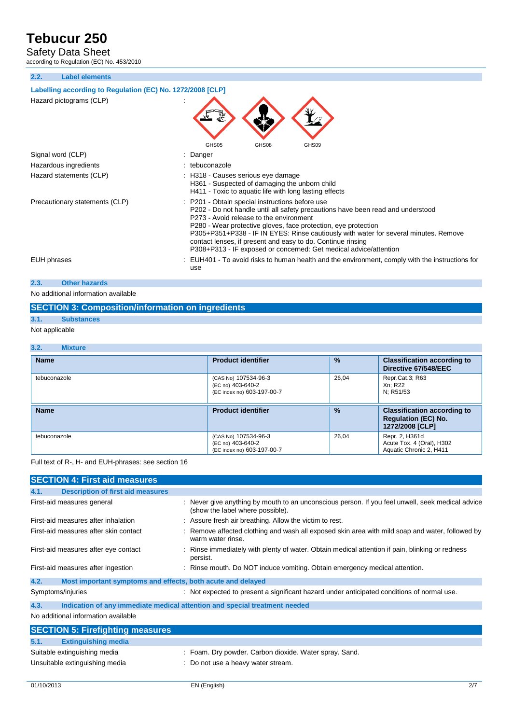Safety Data Sheet

according to Regulation (EC) No. 453/2010

**2.2. Label elements**

#### **Labelling according to Regulation (EC) No. 1272/2008 [CLP]**

| Hazard pictograms (CLP)        | GHS <sub>05</sub><br>GHS08<br>GHS09                                                                                                                                                                                                                                                                                                                                                                                                                                         |
|--------------------------------|-----------------------------------------------------------------------------------------------------------------------------------------------------------------------------------------------------------------------------------------------------------------------------------------------------------------------------------------------------------------------------------------------------------------------------------------------------------------------------|
| Signal word (CLP)              | : Danger                                                                                                                                                                                                                                                                                                                                                                                                                                                                    |
| Hazardous ingredients          | : tebuconazole                                                                                                                                                                                                                                                                                                                                                                                                                                                              |
| Hazard statements (CLP)        | : H318 - Causes serious eye damage<br>H361 - Suspected of damaging the unborn child<br>H411 - Toxic to aquatic life with long lasting effects                                                                                                                                                                                                                                                                                                                               |
| Precautionary statements (CLP) | : P201 - Obtain special instructions before use<br>P202 - Do not handle until all safety precautions have been read and understood<br>P273 - Avoid release to the environment<br>P280 - Wear protective gloves, face protection, eye protection<br>P305+P351+P338 - IF IN EYES: Rinse cautiously with water for several minutes. Remove<br>contact lenses, if present and easy to do. Continue rinsing<br>P308+P313 - IF exposed or concerned: Get medical advice/attention |
| EUH phrases                    | : EUH401 - To avoid risks to human health and the environment, comply with the instructions for<br>use                                                                                                                                                                                                                                                                                                                                                                      |
| 2.3.<br><b>Other hazards</b>   |                                                                                                                                                                                                                                                                                                                                                                                                                                                                             |

No additional information available

### **SECTION 3: Composition/information on ingredients**

### **3.1. Substances**

#### Not applicable

| 3.2.<br><b>Mixture</b> |                                                                         |               |                                                                                     |
|------------------------|-------------------------------------------------------------------------|---------------|-------------------------------------------------------------------------------------|
| <b>Name</b>            | <b>Product identifier</b>                                               | $\frac{9}{6}$ | <b>Classification according to</b><br>Directive 67/548/EEC                          |
| tebuconazole           | (CAS No) 107534-96-3<br>(EC no) 403-640-2<br>(EC index no) 603-197-00-7 | 26.04         | Repr.Cat.3; R63<br>Xn: R22<br>N: R51/53                                             |
| <b>Name</b>            | <b>Product identifier</b>                                               | $\frac{9}{6}$ | <b>Classification according to</b><br><b>Regulation (EC) No.</b><br>1272/2008 [CLP] |
| tebuconazole           | (CAS No) 107534-96-3<br>(EC no) 403-640-2<br>(EC index no) 603-197-00-7 | 26.04         | Repr. 2, H361d<br>Acute Tox. 4 (Oral), H302<br>Aquatic Chronic 2. H411              |

Full text of R-, H- and EUH-phrases: see section 16

|      | <b>SECTION 4: First aid measures</b>                        |                                                                                                                                      |
|------|-------------------------------------------------------------|--------------------------------------------------------------------------------------------------------------------------------------|
| 4.1. | <b>Description of first aid measures</b>                    |                                                                                                                                      |
|      | First-aid measures general                                  | : Never give anything by mouth to an unconscious person. If you feel unwell, seek medical advice<br>(show the label where possible). |
|      | First-aid measures after inhalation                         | : Assure fresh air breathing. Allow the victim to rest.                                                                              |
|      | First-aid measures after skin contact                       | Remove affected clothing and wash all exposed skin area with mild soap and water, followed by<br>warm water rinse.                   |
|      | First-aid measures after eye contact                        | Rinse immediately with plenty of water. Obtain medical attention if pain, blinking or redness<br>persist.                            |
|      | First-aid measures after ingestion                          | Rinse mouth. Do NOT induce vomiting. Obtain emergency medical attention.                                                             |
| 4.2. | Most important symptoms and effects, both acute and delayed |                                                                                                                                      |
|      | Symptoms/injuries                                           | : Not expected to present a significant hazard under anticipated conditions of normal use.                                           |
| 4.3. |                                                             | Indication of any immediate medical attention and special treatment needed                                                           |
|      | No additional information available                         |                                                                                                                                      |
|      | <b>SECTION 5: Firefighting measures</b>                     |                                                                                                                                      |
| 5.1. | <b>Extinguishing media</b>                                  |                                                                                                                                      |
|      | Suitable extinguishing media                                | : Foam. Dry powder. Carbon dioxide. Water spray. Sand.                                                                               |
|      | Unsuitable extinguishing media                              | Do not use a heavy water stream.                                                                                                     |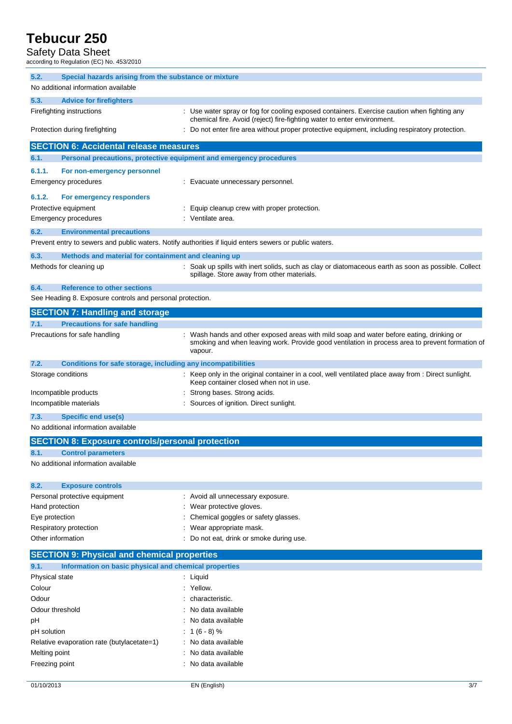### Safety Data Sheet

according to Regulation (EC) No. 453/2010

| 5.2.<br>Special hazards arising from the substance or mixture                             |                                                                                                                                                                                                      |
|-------------------------------------------------------------------------------------------|------------------------------------------------------------------------------------------------------------------------------------------------------------------------------------------------------|
| No additional information available                                                       |                                                                                                                                                                                                      |
| 5.3.<br><b>Advice for firefighters</b>                                                    |                                                                                                                                                                                                      |
| Firefighting instructions                                                                 | : Use water spray or fog for cooling exposed containers. Exercise caution when fighting any<br>chemical fire. Avoid (reject) fire-fighting water to enter environment.                               |
| Protection during firefighting                                                            | Do not enter fire area without proper protective equipment, including respiratory protection.                                                                                                        |
| <b>SECTION 6: Accidental release measures</b>                                             |                                                                                                                                                                                                      |
| 6.1.                                                                                      | Personal precautions, protective equipment and emergency procedures                                                                                                                                  |
| 6.1.1.<br>For non-emergency personnel<br>Emergency procedures                             | : Evacuate unnecessary personnel.                                                                                                                                                                    |
| 6.1.2.<br>For emergency responders<br>Protective equipment<br><b>Emergency procedures</b> | Equip cleanup crew with proper protection.<br>: Ventilate area.                                                                                                                                      |
| 6.2.<br><b>Environmental precautions</b>                                                  |                                                                                                                                                                                                      |
|                                                                                           | Prevent entry to sewers and public waters. Notify authorities if liquid enters sewers or public waters.                                                                                              |
| 6.3.<br>Methods and material for containment and cleaning up                              |                                                                                                                                                                                                      |
| Methods for cleaning up                                                                   | : Soak up spills with inert solids, such as clay or diatomaceous earth as soon as possible. Collect<br>spillage. Store away from other materials.                                                    |
| 6.4.<br><b>Reference to other sections</b>                                                |                                                                                                                                                                                                      |
| See Heading 8. Exposure controls and personal protection.                                 |                                                                                                                                                                                                      |
| <b>SECTION 7: Handling and storage</b>                                                    |                                                                                                                                                                                                      |
| <b>Precautions for safe handling</b><br>7.1.                                              |                                                                                                                                                                                                      |
| Precautions for safe handling                                                             | Wash hands and other exposed areas with mild soap and water before eating, drinking or<br>smoking and when leaving work. Provide good ventilation in process area to prevent formation of<br>vapour. |
| 7.2.<br>Conditions for safe storage, including any incompatibilities                      |                                                                                                                                                                                                      |
| Storage conditions                                                                        | : Keep only in the original container in a cool, well ventilated place away from : Direct sunlight.<br>Keep container closed when not in use.                                                        |
| Incompatible products                                                                     | Strong bases. Strong acids.                                                                                                                                                                          |
| Incompatible materials                                                                    | Sources of ignition. Direct sunlight.                                                                                                                                                                |
| 7.3.<br><b>Specific end use(s)</b>                                                        |                                                                                                                                                                                                      |
| No additional information available                                                       |                                                                                                                                                                                                      |
| <b>SECTION 8: Exposure controls/personal protection</b>                                   |                                                                                                                                                                                                      |
| 8.1.<br><b>Control parameters</b>                                                         |                                                                                                                                                                                                      |
| No additional information available                                                       |                                                                                                                                                                                                      |
| 8.2.<br><b>Exposure controls</b>                                                          |                                                                                                                                                                                                      |
| Personal protective equipment                                                             | : Avoid all unnecessary exposure.                                                                                                                                                                    |
| Hand protection                                                                           | : Wear protective gloves.                                                                                                                                                                            |
| Eye protection                                                                            | Chemical goggles or safety glasses.                                                                                                                                                                  |
| Respiratory protection                                                                    | : Wear appropriate mask.                                                                                                                                                                             |
| Other information                                                                         | Do not eat, drink or smoke during use.                                                                                                                                                               |
| <b>SECTION 9: Physical and chemical properties</b>                                        |                                                                                                                                                                                                      |
| Information on basic physical and chemical properties<br>9.1.                             |                                                                                                                                                                                                      |
| Physical state                                                                            | $:$ Liquid                                                                                                                                                                                           |
| Colour                                                                                    | Yellow.                                                                                                                                                                                              |
| Odour                                                                                     | characteristic.                                                                                                                                                                                      |
| Odour threshold                                                                           | No data available                                                                                                                                                                                    |
| рH                                                                                        | No data available                                                                                                                                                                                    |
| pH solution                                                                               | $1(6 - 8)$ %                                                                                                                                                                                         |
| Relative evaporation rate (butylacetate=1)                                                | : No data available                                                                                                                                                                                  |
| Melting point                                                                             | No data available                                                                                                                                                                                    |
| Freezing point                                                                            | : No data available                                                                                                                                                                                  |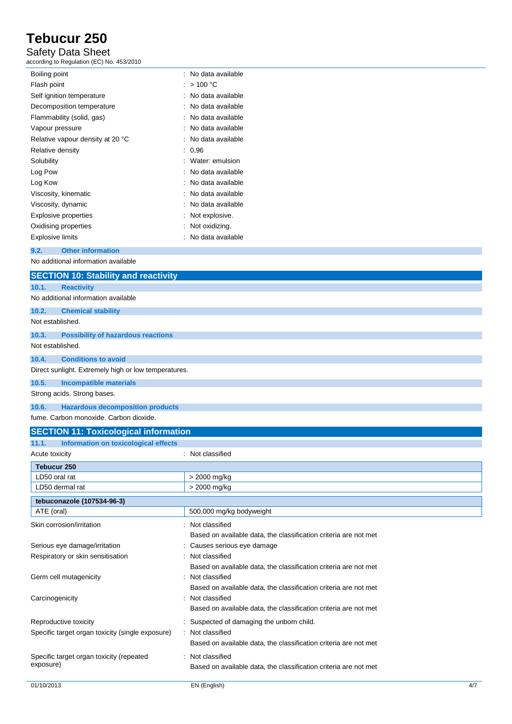### Safety Data Sheet

according to Regulation (EC) No. 453/2010

| Boiling point                    | : No data available |
|----------------------------------|---------------------|
| Flash point                      | : $>100 °C$         |
| Self ignition temperature        | : No data available |
| Decomposition temperature        | : No data available |
| Flammability (solid, gas)        | : No data available |
| Vapour pressure                  | : No data available |
| Relative vapour density at 20 °C | : No data available |
| Relative density                 | 0.96                |
| Solubility                       | : Water: emulsion   |
| Log Pow                          | : No data available |
| Log Kow                          | : No data available |
| Viscosity, kinematic             | : No data available |
| Viscosity, dynamic               | : No data available |
| Explosive properties             | : Not explosive.    |
| Oxidising properties             | $:$ Not oxidizing.  |
| <b>Explosive limits</b>          | No data available   |
| <b>Other information</b><br>9.2. |                     |

No additional information available

|                  | <b>SECTION 10: Stability and reactivity</b>          |
|------------------|------------------------------------------------------|
| 10.1.            | <b>Reactivity</b>                                    |
|                  | No additional information available                  |
| 10.2.            | <b>Chemical stability</b>                            |
| Not established. |                                                      |
| 10.3.            | <b>Possibility of hazardous reactions</b>            |
| Not established. |                                                      |
| 10.4.            | <b>Conditions to avoid</b>                           |
|                  | Direct sunlight. Extremely high or low temperatures. |
| 10.5.            | Incompatible materials                               |
|                  | Strong acids. Strong bases.                          |
| 10.6.            | <b>Hazardous decomposition products</b>              |
|                  |                                                      |

fume. Carbon monoxide. Carbon dioxide.

| <b>SECTION 11: Toxicological information</b>     |                                                                  |     |
|--------------------------------------------------|------------------------------------------------------------------|-----|
| Information on toxicological effects<br>11.1.    |                                                                  |     |
| Acute toxicity                                   | : Not classified                                                 |     |
| Tebucur 250                                      |                                                                  |     |
| LD50 oral rat                                    | > 2000 mg/kg                                                     |     |
| LD50 dermal rat                                  | > 2000 mg/kg                                                     |     |
| tebuconazole (107534-96-3)                       |                                                                  |     |
| ATE (oral)                                       | 500,000 mg/kg bodyweight                                         |     |
| Skin corrosion/irritation                        | : Not classified                                                 |     |
|                                                  | Based on available data, the classification criteria are not met |     |
| Serious eye damage/irritation                    | Causes serious eye damage                                        |     |
| Respiratory or skin sensitisation                | Not classified                                                   |     |
|                                                  | Based on available data, the classification criteria are not met |     |
| Germ cell mutagenicity                           | Not classified                                                   |     |
|                                                  | Based on available data, the classification criteria are not met |     |
| Carcinogenicity                                  | Not classified                                                   |     |
|                                                  | Based on available data, the classification criteria are not met |     |
| Reproductive toxicity                            | Suspected of damaging the unborn child.                          |     |
| Specific target organ toxicity (single exposure) | : Not classified                                                 |     |
|                                                  | Based on available data, the classification criteria are not met |     |
| Specific target organ toxicity (repeated         | Not classified                                                   |     |
| exposure)                                        | Based on available data, the classification criteria are not met |     |
| 01/10/2013                                       | EN (English)                                                     | 4/7 |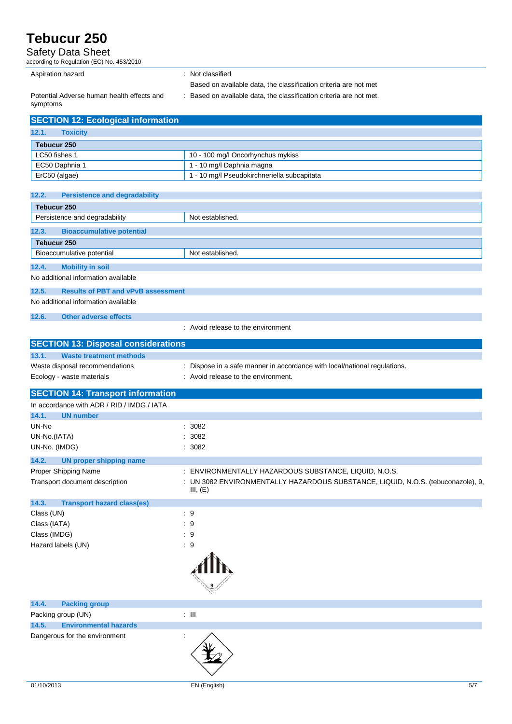Safety Data Sheet

| according to Regulation (EC) No. 453/2010                       |                                                                                                                  |
|-----------------------------------------------------------------|------------------------------------------------------------------------------------------------------------------|
| Aspiration hazard                                               | : Not classified                                                                                                 |
|                                                                 | Based on available data, the classification criteria are not met                                                 |
| Potential Adverse human health effects and                      | : Based on available data, the classification criteria are not met.                                              |
| symptoms                                                        |                                                                                                                  |
| <b>SECTION 12: Ecological information</b>                       |                                                                                                                  |
| 12.1.<br><b>Toxicity</b>                                        |                                                                                                                  |
| <b>Tebucur 250</b>                                              |                                                                                                                  |
| LC50 fishes 1                                                   | 10 - 100 mg/l Oncorhynchus mykiss                                                                                |
| EC50 Daphnia 1<br>ErC50 (algae)                                 | 1 - 10 mg/l Daphnia magna<br>1 - 10 mg/l Pseudokirchneriella subcapitata                                         |
|                                                                 |                                                                                                                  |
| 12.2.<br><b>Persistence and degradability</b>                   |                                                                                                                  |
| <b>Tebucur 250</b>                                              |                                                                                                                  |
| Persistence and degradability                                   | Not established.                                                                                                 |
| 12.3.<br><b>Bioaccumulative potential</b>                       |                                                                                                                  |
| <b>Tebucur 250</b>                                              |                                                                                                                  |
| Bioaccumulative potential                                       | Not established.                                                                                                 |
| 12.4.<br><b>Mobility in soil</b>                                |                                                                                                                  |
| No additional information available                             |                                                                                                                  |
| 12.5.<br><b>Results of PBT and vPvB assessment</b>              |                                                                                                                  |
| No additional information available                             |                                                                                                                  |
| 12.6.<br><b>Other adverse effects</b>                           |                                                                                                                  |
|                                                                 | : Avoid release to the environment                                                                               |
|                                                                 |                                                                                                                  |
| <b>SECTION 13: Disposal considerations</b>                      |                                                                                                                  |
| 13.1.<br><b>Waste treatment methods</b>                         |                                                                                                                  |
| Waste disposal recommendations<br>Ecology - waste materials     | : Dispose in a safe manner in accordance with local/national regulations.<br>: Avoid release to the environment. |
|                                                                 |                                                                                                                  |
| <b>SECTION 14: Transport information</b>                        |                                                                                                                  |
| In accordance with ADR / RID / IMDG / IATA                      |                                                                                                                  |
| 14.1.<br><b>UN number</b>                                       |                                                                                                                  |
| UN-No                                                           | : 3082                                                                                                           |
| UN-No.(IATA)<br>UN-No. (IMDG)                                   | : 3082<br>: 3082                                                                                                 |
|                                                                 |                                                                                                                  |
| 14.2.<br><b>UN proper shipping name</b><br>Proper Shipping Name | : ENVIRONMENTALLY HAZARDOUS SUBSTANCE, LIQUID, N.O.S.                                                            |
| Transport document description                                  | : UN 3082 ENVIRONMENTALLY HAZARDOUS SUBSTANCE, LIQUID, N.O.S. (tebuconazole), 9,                                 |
|                                                                 | III, $(E)$                                                                                                       |
| 14.3.<br><b>Transport hazard class(es)</b>                      |                                                                                                                  |
| Class (UN)                                                      | :9                                                                                                               |
| Class (IATA)                                                    | :9                                                                                                               |
| Class (IMDG)                                                    | :9                                                                                                               |
| Hazard labels (UN)                                              | $\cdot$ 9                                                                                                        |
|                                                                 |                                                                                                                  |
|                                                                 |                                                                                                                  |
|                                                                 |                                                                                                                  |
|                                                                 |                                                                                                                  |
| 14.4.<br><b>Packing group</b>                                   |                                                                                                                  |
| Packing group (UN)                                              | $: \mathbb{H}$                                                                                                   |
| 14.5.<br><b>Environmental hazards</b>                           |                                                                                                                  |

Dangerous for the environment :  $\cdot$  :

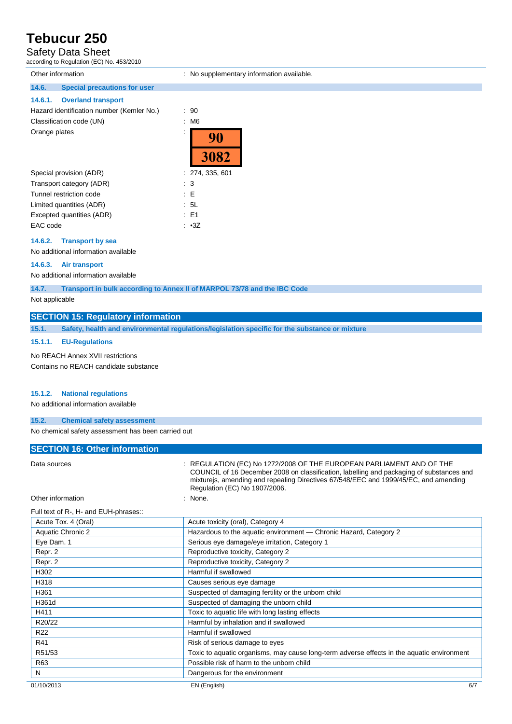## Safety Data Sheet

according to Regulation (EC) No. 453/2010

| Other information                                                         | : No supplementary information available. |
|---------------------------------------------------------------------------|-------------------------------------------|
| 14.6.<br><b>Special precautions for user</b>                              |                                           |
| 14.6.1.<br><b>Overland transport</b>                                      |                                           |
| Hazard identification number (Kemler No.)                                 | $\therefore$ 90                           |
| Classification code (UN)                                                  | : M6                                      |
| Orange plates                                                             | $\cdot$<br>90<br>3082                     |
| Special provision (ADR)                                                   | : 274, 335, 601                           |
| Transport category (ADR)                                                  | $\therefore$ 3                            |
| Tunnel restriction code                                                   | $\therefore$ E                            |
| Limited quantities (ADR)                                                  | .5L                                       |
| Excepted quantities (ADR)                                                 | $\therefore$ E1                           |
| EAC code                                                                  | $\cdot$ $\cdot$ 3Z                        |
| 14.6.2.<br><b>Transport by sea</b><br>No additional information available |                                           |
| 14.6.3.<br>Air transport                                                  |                                           |

No additional information available

**14.7. Transport in bulk according to Annex II of MARPOL 73/78 and the IBC Code**

Not applicable

### **SECTION 15: Regulatory information**

**15.1. Safety, health and environmental regulations/legislation specific for the substance or mixture**

#### **15.1.1. EU-Regulations**

No REACH Annex XVII restrictions Contains no REACH candidate substance

#### **15.1.2. National regulations**

No additional information available

#### **15.2. Chemical safety assessment**

No chemical safety assessment has been carried out

| <b>SECTION 16: Other information</b>  |                                                                                                                                                                                                                                                                                           |     |
|---------------------------------------|-------------------------------------------------------------------------------------------------------------------------------------------------------------------------------------------------------------------------------------------------------------------------------------------|-----|
| Data sources                          | : REGULATION (EC) No 1272/2008 OF THE EUROPEAN PARLIAMENT AND OF THE<br>COUNCIL of 16 December 2008 on classification, labelling and packaging of substances and<br>mixturejs, amending and repealing Directives 67/548/EEC and 1999/45/EC, and amending<br>Regulation (EC) No 1907/2006. |     |
| Other information                     | None.                                                                                                                                                                                                                                                                                     |     |
| Full text of R-, H- and EUH-phrases:: |                                                                                                                                                                                                                                                                                           |     |
| Acute Tox. 4 (Oral)                   | Acute toxicity (oral), Category 4                                                                                                                                                                                                                                                         |     |
| Aquatic Chronic 2                     | Hazardous to the aquatic environment - Chronic Hazard, Category 2                                                                                                                                                                                                                         |     |
| Eye Dam. 1                            | Serious eye damage/eye irritation, Category 1                                                                                                                                                                                                                                             |     |
| Repr. 2                               | Reproductive toxicity, Category 2                                                                                                                                                                                                                                                         |     |
| Repr. 2                               | Reproductive toxicity, Category 2                                                                                                                                                                                                                                                         |     |
| H302                                  | Harmful if swallowed                                                                                                                                                                                                                                                                      |     |
| H318                                  | Causes serious eye damage                                                                                                                                                                                                                                                                 |     |
| H361                                  | Suspected of damaging fertility or the unborn child                                                                                                                                                                                                                                       |     |
| H361d                                 | Suspected of damaging the unborn child                                                                                                                                                                                                                                                    |     |
| H411                                  | Toxic to aquatic life with long lasting effects                                                                                                                                                                                                                                           |     |
| R20/22                                | Harmful by inhalation and if swallowed                                                                                                                                                                                                                                                    |     |
| R <sub>22</sub>                       | Harmful if swallowed                                                                                                                                                                                                                                                                      |     |
| R41                                   | Risk of serious damage to eyes                                                                                                                                                                                                                                                            |     |
| R51/53                                | Toxic to aquatic organisms, may cause long-term adverse effects in the aquatic environment                                                                                                                                                                                                |     |
| R63                                   | Possible risk of harm to the unborn child                                                                                                                                                                                                                                                 |     |
| N                                     | Dangerous for the environment                                                                                                                                                                                                                                                             |     |
| 01/10/2013                            | EN (English)                                                                                                                                                                                                                                                                              | 6/7 |